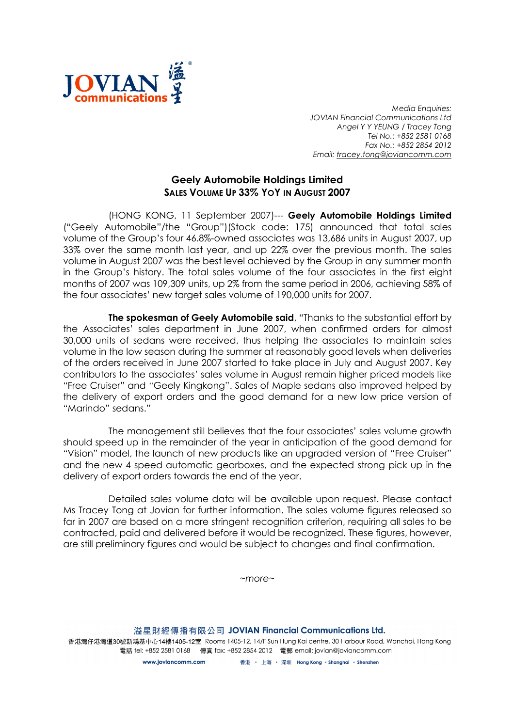

Media Enquiries: JOVIAN Financial Communications Ltd Angel Y Y YEUNG / Tracey Tong Tel No.: +852 2581 0168 Fax No.: +852 2854 2012 Email: tracey.tong@joviancomm.com

## Geely Automobile Holdings Limited SALES VOLUME UP 33% YOY IN AUGUST 2007

(HONG KONG, 11 September 2007)--- Geely Automobile Holdings Limited ("Geely Automobile"/the "Group")(Stock code: 175) announced that total sales volume of the Group's four 46.8%-owned associates was 13,686 units in August 2007, up 33% over the same month last year, and up 22% over the previous month. The sales volume in August 2007 was the best level achieved by the Group in any summer month in the Group's history. The total sales volume of the four associates in the first eight months of 2007 was 109,309 units, up 2% from the same period in 2006, achieving 58% of the four associates' new target sales volume of 190,000 units for 2007.

The spokesman of Geely Automobile said, "Thanks to the substantial effort by the Associates' sales department in June 2007, when confirmed orders for almost 30,000 units of sedans were received, thus helping the associates to maintain sales volume in the low season during the summer at reasonably good levels when deliveries of the orders received in June 2007 started to take place in July and August 2007. Key contributors to the associates' sales volume in August remain higher priced models like "Free Cruiser" and "Geely Kingkong". Sales of Maple sedans also improved helped by the delivery of export orders and the good demand for a new low price version of "Marindo" sedans."

The management still believes that the four associates' sales volume growth should speed up in the remainder of the year in anticipation of the good demand for "Vision" model, the launch of new products like an upgraded version of "Free Cruiser" and the new 4 speed automatic gearboxes, and the expected strong pick up in the delivery of export orders towards the end of the year.

Detailed sales volume data will be available upon request. Please contact Ms Tracey Tong at Jovian for further information. The sales volume figures released so far in 2007 are based on a more stringent recognition criterion, requiring all sales to be contracted, paid and delivered before it would be recognized. These figures, however, are still preliminary figures and would be subject to changes and final confirmation.

~more~

溢星財經傳播有限公司 JOVIAN Financial Communications Ltd. 香港灣仔港灣道30號新鴻基中心14樓1405-12室 Rooms 1405-12, 14/F Sun Hung Kai centre, 30 Harbour Road, Wanchai, Hong Kong 電話 tel: +852 2581 0168 傳真 fax: +852 2854 2012 電郵 email: jovian@joviancomm.com

> 香港 ・ 上海 ・ 深圳 Hong Kong ・Shanghai ・Shenzhen www.ioviancomm.com